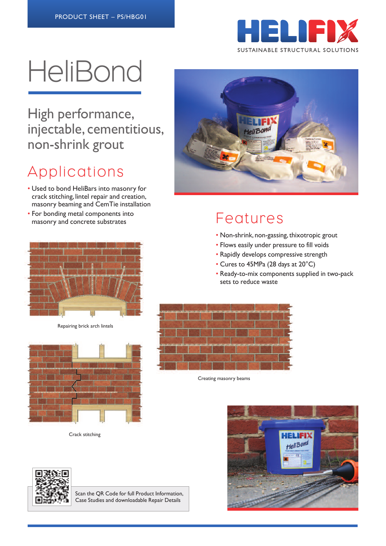

# **HeliBond**

High performance, injectable, cementitious, non-shrink grout

# Applications

- Used to bond HeliBars into masonry for crack stitching, lintel repair and creation, masonry beaming and CemTie installation
- For bonding metal components into masonry and concrete substrates Features



Repairing brick arch lintels



Crack stitching



- Non-shrink, non-gassing, thixotropic grout
- Flows easily under pressure to fill voids
- Rapidly develops compressive strength
- Cures to 45MPa (28 days at 20°C)
- Ready-to-mix components supplied in two-pack sets to reduce waste



Creating masonry beams





Scan the QR Code for full Product Information, Case Studies and downloadable Repair Details